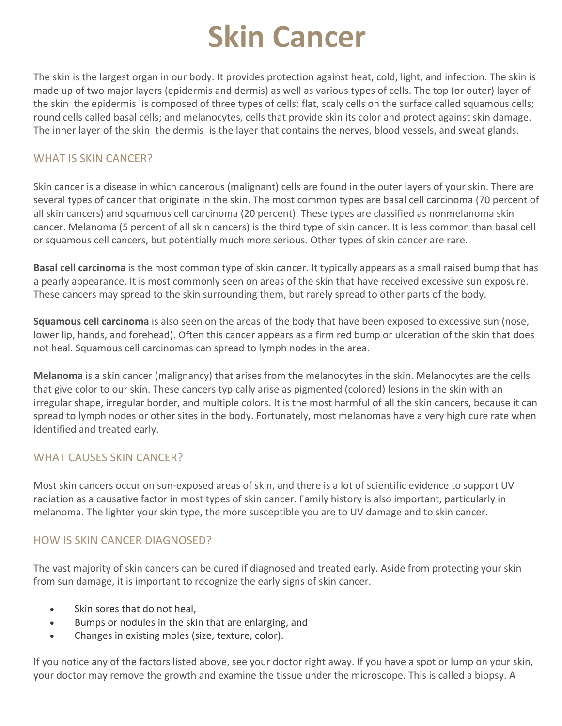# **Skin Cancer**

The skin is the largest organ in our body. It provides protection against heat, cold, light, and infection. The skin is made up of two major layers (epidermis and dermis) as well as various types of cells. The top (or outer) layer of the skin the epidermis is composed of three types of cells: flat, scaly cells on the surface called squamous cells; round cells called basal cells; and melanocytes, cells that provide skin its color and protect against skin damage. The inner layer of the skin the dermis is the layer that contains the nerves, blood vessels, and sweat glands.

#### WHAT IS SKIN CANCER?

Skin cancer is a disease in which cancerous (malignant) cells are found in the outer layers of your skin. There are several types of cancer that originate in the skin. The most common types are basal cell carcinoma (70 percent of all skin cancers) and squamous cell carcinoma (20 percent). These types are classified as nonmelanoma skin cancer. Melanoma (5 percent of all skin cancers) is the third type of skin cancer. It is less common than basal cell or squamous cell cancers, but potentially much more serious. Other types of skin cancer are rare.

**Basal cell carcinoma** is the most common type of skin cancer. It typically appears as a small raised bump that has a pearly appearance. It is most commonly seen on areas of the skin that have received excessive sun exposure. These cancers may spread to the skin surrounding them, but rarely spread to other parts of the body.

**Squamous cell carcinoma** is also seen on the areas of the body that have been exposed to excessive sun (nose, lower lip, hands, and forehead). Often this cancer appears as a firm red bump or ulceration of the skin that does not heal. Squamous cell carcinomas can spread to lymph nodes in the area.

**Melanoma** is a skin cancer (malignancy) that arises from the melanocytes in the skin. Melanocytes are the cells that give color to our skin. These cancers typically arise as pigmented (colored) lesions in the skin with an irregular shape, irregular border, and multiple colors. It is the most harmful of all the skin cancers, because it can spread to lymph nodes or other sites in the body. Fortunately, most melanomas have a very high cure rate when identified and treated early.

#### WHAT CAUSES SKIN CANCER?

Most skin cancers occur on sun-exposed areas of skin, and there is a lot of scientific evidence to support UV radiation as a causative factor in most types of skin cancer. Family history is also important, particularly in melanoma. The lighter your skin type, the more susceptible you are to UV damage and to skin cancer.

#### HOW IS SKIN CANCER DIAGNOSED?

The vast majority of skin cancers can be cured if diagnosed and treated early. Aside from protecting your skin from sun damage, it is important to recognize the early signs of skin cancer.

- Skin sores that do not heal,
- Bumps or nodules in the skin that are enlarging, and
- Changes in existing moles (size, texture, color).

If you notice any of the factors listed above, see your doctor right away. If you have a spot or lump on your skin, your doctor may remove the growth and examine the tissue under the microscope. This is called a biopsy. A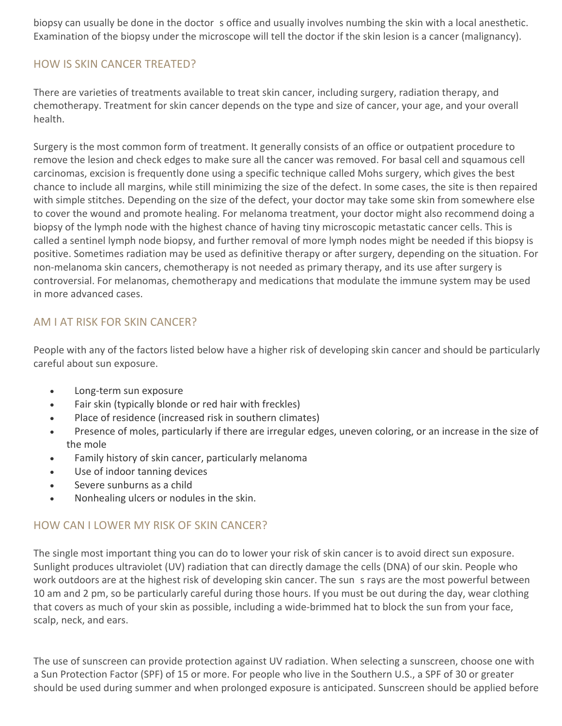biopsy can usually be done in the doctor s office and usually involves numbing the skin with a local anesthetic. Examination of the biopsy under the microscope will tell the doctor if the skin lesion is a cancer (malignancy).

## HOW IS SKIN CANCER TREATED?

There are varieties of treatments available to treat skin cancer, including surgery, radiation therapy, and chemotherapy. Treatment for skin cancer depends on the type and size of cancer, your age, and your overall health.

Surgery is the most common form of treatment. It generally consists of an office or outpatient procedure to remove the lesion and check edges to make sure all the cancer was removed. For basal cell and squamous cell carcinomas, excision is frequently done using a specific technique called Mohs surgery, which gives the best chance to include all margins, while still minimizing the size of the defect. In some cases, the site is then repaired with simple stitches. Depending on the size of the defect, your doctor may take some skin from somewhere else to cover the wound and promote healing. For melanoma treatment, your doctor might also recommend doing a biopsy of the lymph node with the highest chance of having tiny microscopic metastatic cancer cells. This is called a sentinel lymph node biopsy, and further removal of more lymph nodes might be needed if this biopsy is positive. Sometimes radiation may be used as definitive therapy or after surgery, depending on the situation. For non-melanoma skin cancers, chemotherapy is not needed as primary therapy, and its use after surgery is controversial. For melanomas, chemotherapy and medications that modulate the immune system may be used in more advanced cases.

## AM I AT RISK FOR SKIN CANCER?

People with any of the factors listed below have a higher risk of developing skin cancer and should be particularly careful about sun exposure.

- Long-term sun exposure
- Fair skin (typically blonde or red hair with freckles)
- Place of residence (increased risk in southern climates)
- Presence of moles, particularly if there are irregular edges, uneven coloring, or an increase in the size of the mole
- Family history of skin cancer, particularly melanoma
- Use of indoor tanning devices
- Severe sunburns as a child
- Nonhealing ulcers or nodules in the skin.

## HOW CAN I LOWER MY RISK OF SKIN CANCER?

The single most important thing you can do to lower your risk of skin cancer is to avoid direct sun exposure. Sunlight produces ultraviolet (UV) radiation that can directly damage the cells (DNA) of our skin. People who work outdoors are at the highest risk of developing skin cancer. The sun s rays are the most powerful between 10 am and 2 pm, so be particularly careful during those hours. If you must be out during the day, wear clothing that covers as much of your skin as possible, including a wide-brimmed hat to block the sun from your face, scalp, neck, and ears.

The use of sunscreen can provide protection against UV radiation. When selecting a sunscreen, choose one with a Sun Protection Factor (SPF) of 15 or more. For people who live in the Southern U.S., a SPF of 30 or greater should be used during summer and when prolonged exposure is anticipated. Sunscreen should be applied before